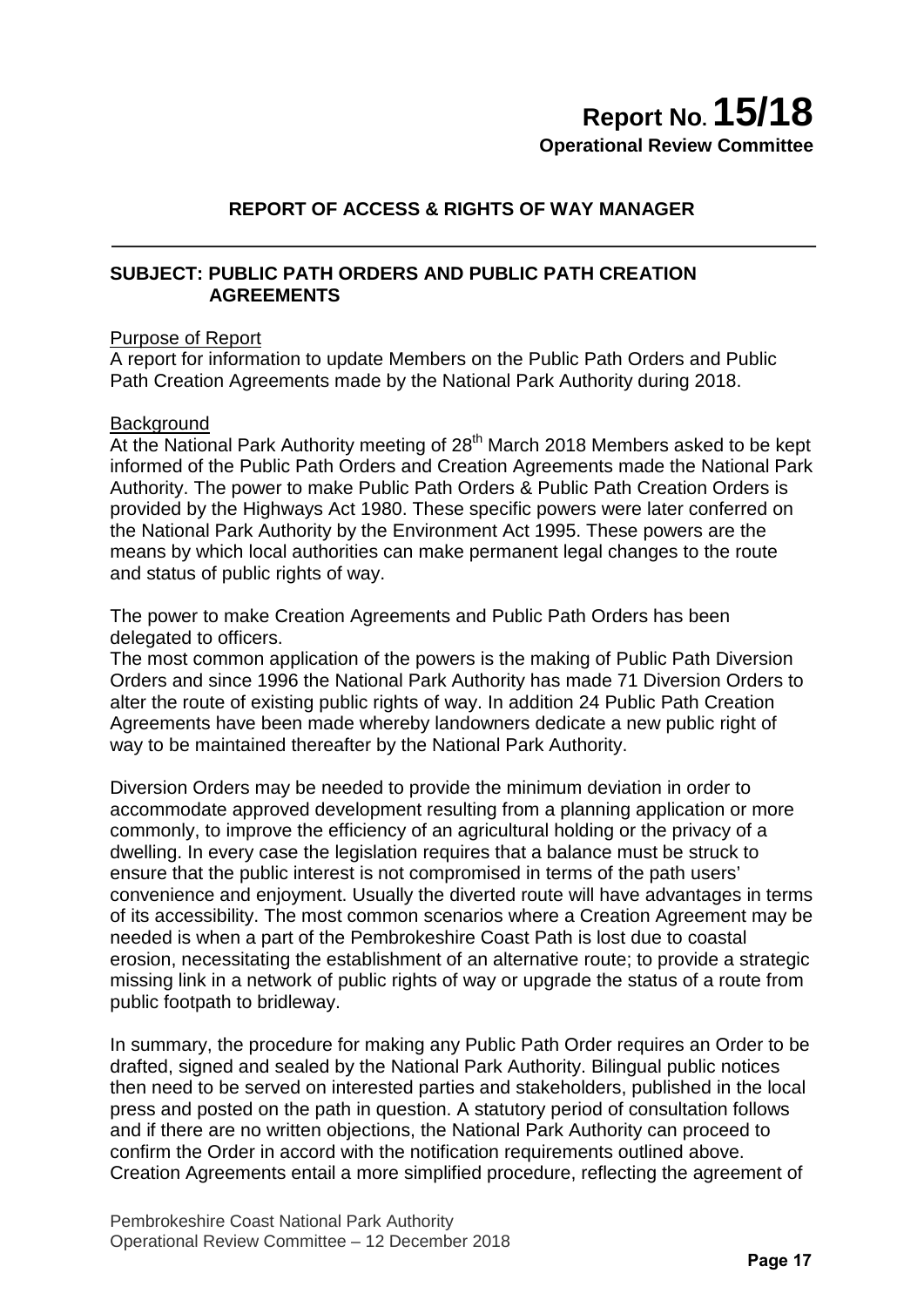# **Report No.15/18**

**Operational Review Committee**

# **REPORT OF ACCESS & RIGHTS OF WAY MANAGER**

## **SUBJECT: PUBLIC PATH ORDERS AND PUBLIC PATH CREATION AGREEMENTS**

## Purpose of Report

A report for information to update Members on the Public Path Orders and Public Path Creation Agreements made by the National Park Authority during 2018.

## **Background**

At the National Park Authority meeting of  $28<sup>th</sup>$  March 2018 Members asked to be kept informed of the Public Path Orders and Creation Agreements made the National Park Authority. The power to make Public Path Orders & Public Path Creation Orders is provided by the Highways Act 1980. These specific powers were later conferred on the National Park Authority by the Environment Act 1995. These powers are the means by which local authorities can make permanent legal changes to the route and status of public rights of way.

The power to make Creation Agreements and Public Path Orders has been delegated to officers.

The most common application of the powers is the making of Public Path Diversion Orders and since 1996 the National Park Authority has made 71 Diversion Orders to alter the route of existing public rights of way. In addition 24 Public Path Creation Agreements have been made whereby landowners dedicate a new public right of way to be maintained thereafter by the National Park Authority.

Diversion Orders may be needed to provide the minimum deviation in order to accommodate approved development resulting from a planning application or more commonly, to improve the efficiency of an agricultural holding or the privacy of a dwelling. In every case the legislation requires that a balance must be struck to ensure that the public interest is not compromised in terms of the path users' convenience and enjoyment. Usually the diverted route will have advantages in terms of its accessibility. The most common scenarios where a Creation Agreement may be needed is when a part of the Pembrokeshire Coast Path is lost due to coastal erosion, necessitating the establishment of an alternative route; to provide a strategic missing link in a network of public rights of way or upgrade the status of a route from public footpath to bridleway.

In summary, the procedure for making any Public Path Order requires an Order to be drafted, signed and sealed by the National Park Authority. Bilingual public notices then need to be served on interested parties and stakeholders, published in the local press and posted on the path in question. A statutory period of consultation follows and if there are no written objections, the National Park Authority can proceed to confirm the Order in accord with the notification requirements outlined above. Creation Agreements entail a more simplified procedure, reflecting the agreement of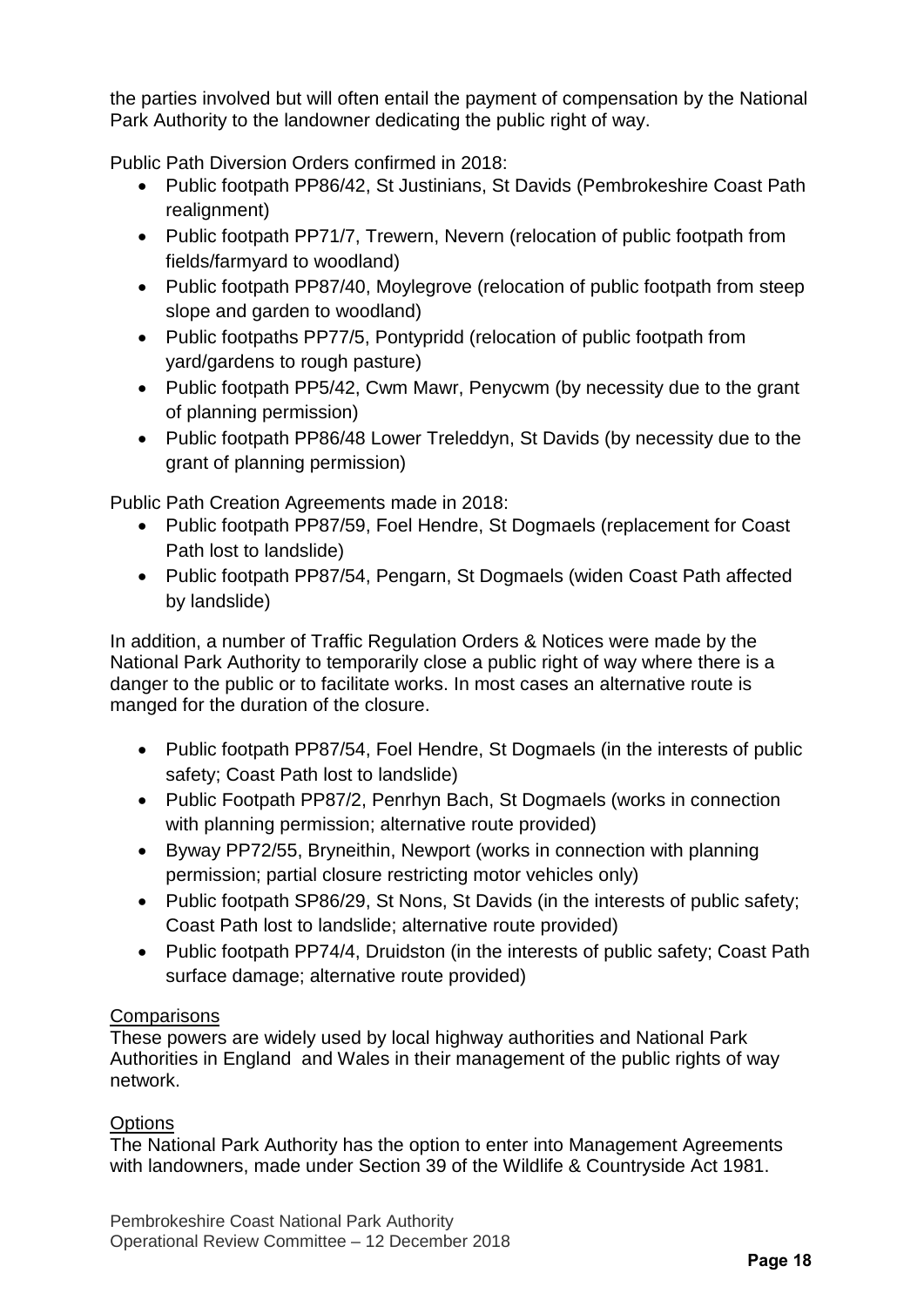the parties involved but will often entail the payment of compensation by the National Park Authority to the landowner dedicating the public right of way.

Public Path Diversion Orders confirmed in 2018:

- Public footpath PP86/42, St Justinians, St Davids (Pembrokeshire Coast Path realignment)
- Public footpath PP71/7, Trewern, Nevern (relocation of public footpath from fields/farmyard to woodland)
- Public footpath PP87/40, Moylegrove (relocation of public footpath from steep slope and garden to woodland)
- Public footpaths PP77/5, Pontypridd (relocation of public footpath from yard/gardens to rough pasture)
- Public footpath PP5/42, Cwm Mawr, Penycwm (by necessity due to the grant of planning permission)
- Public footpath PP86/48 Lower Treleddyn, St Davids (by necessity due to the grant of planning permission)

Public Path Creation Agreements made in 2018:

- Public footpath PP87/59, Foel Hendre, St Dogmaels (replacement for Coast Path lost to landslide)
- Public footpath PP87/54, Pengarn, St Dogmaels (widen Coast Path affected by landslide)

In addition, a number of Traffic Regulation Orders & Notices were made by the National Park Authority to temporarily close a public right of way where there is a danger to the public or to facilitate works. In most cases an alternative route is manged for the duration of the closure.

- Public footpath PP87/54, Foel Hendre, St Dogmaels (in the interests of public safety; Coast Path lost to landslide)
- Public Footpath PP87/2, Penrhyn Bach, St Dogmaels (works in connection with planning permission; alternative route provided)
- Byway PP72/55, Bryneithin, Newport (works in connection with planning permission; partial closure restricting motor vehicles only)
- Public footpath SP86/29, St Nons, St Davids (in the interests of public safety; Coast Path lost to landslide; alternative route provided)
- Public footpath PP74/4, Druidston (in the interests of public safety; Coast Path surface damage; alternative route provided)

## **Comparisons**

These powers are widely used by local highway authorities and National Park Authorities in England and Wales in their management of the public rights of way network.

## **Options**

The National Park Authority has the option to enter into Management Agreements with landowners, made under Section 39 of the Wildlife & Countryside Act 1981.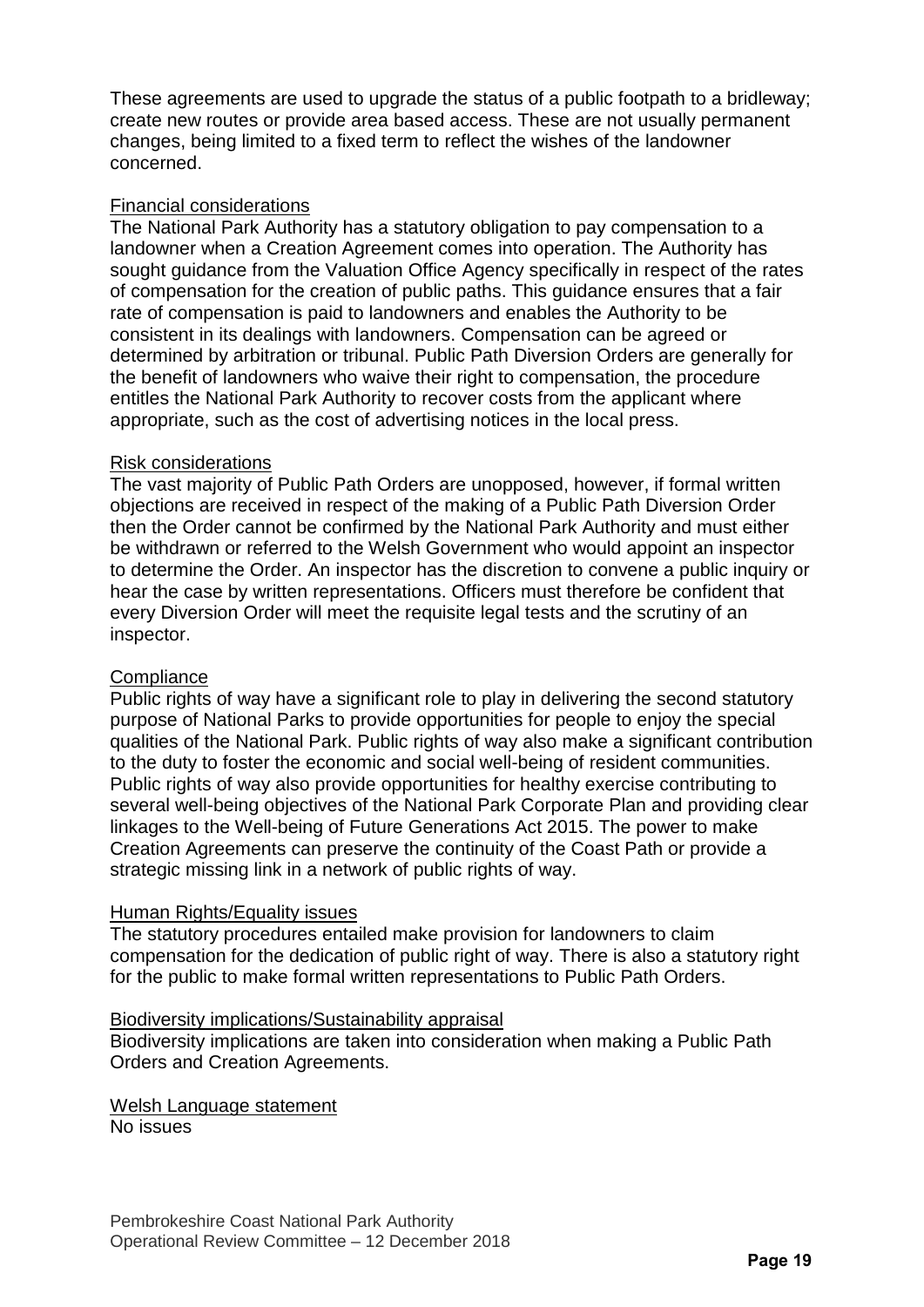These agreements are used to upgrade the status of a public footpath to a bridleway; create new routes or provide area based access. These are not usually permanent changes, being limited to a fixed term to reflect the wishes of the landowner concerned.

## Financial considerations

The National Park Authority has a statutory obligation to pay compensation to a landowner when a Creation Agreement comes into operation. The Authority has sought guidance from the Valuation Office Agency specifically in respect of the rates of compensation for the creation of public paths. This guidance ensures that a fair rate of compensation is paid to landowners and enables the Authority to be consistent in its dealings with landowners. Compensation can be agreed or determined by arbitration or tribunal. Public Path Diversion Orders are generally for the benefit of landowners who waive their right to compensation, the procedure entitles the National Park Authority to recover costs from the applicant where appropriate, such as the cost of advertising notices in the local press.

#### Risk considerations

The vast majority of Public Path Orders are unopposed, however, if formal written objections are received in respect of the making of a Public Path Diversion Order then the Order cannot be confirmed by the National Park Authority and must either be withdrawn or referred to the Welsh Government who would appoint an inspector to determine the Order. An inspector has the discretion to convene a public inquiry or hear the case by written representations. Officers must therefore be confident that every Diversion Order will meet the requisite legal tests and the scrutiny of an inspector.

## **Compliance**

Public rights of way have a significant role to play in delivering the second statutory purpose of National Parks to provide opportunities for people to enjoy the special qualities of the National Park. Public rights of way also make a significant contribution to the duty to foster the economic and social well-being of resident communities. Public rights of way also provide opportunities for healthy exercise contributing to several well-being objectives of the National Park Corporate Plan and providing clear linkages to the Well-being of Future Generations Act 2015. The power to make Creation Agreements can preserve the continuity of the Coast Path or provide a strategic missing link in a network of public rights of way.

#### Human Rights/Equality issues

The statutory procedures entailed make provision for landowners to claim compensation for the dedication of public right of way. There is also a statutory right for the public to make formal written representations to Public Path Orders.

#### Biodiversity implications/Sustainability appraisal

Biodiversity implications are taken into consideration when making a Public Path Orders and Creation Agreements.

Welsh Language statement No issues